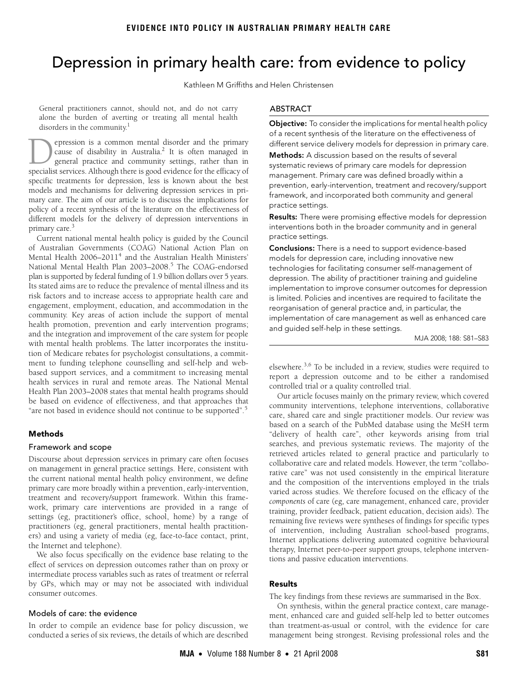# <span id="page-0-0"></span>Depression in primary health care: from evidence to policy

Kathleen M Griffiths and Helen Christensen

General practitioners cannot, should not, and do not carry alone the burden of averting or treating all mental health disorders in the community.<sup>1</sup>

mary care. The aim of our article is to discuss the implications for policy of a recent synthesis of t[he l](#page-0-0)it[era](#page-2-6)ture on the effectiveness of different models for the delivery of depression interventions in  $\mu$ <sup>3</sup><br>primary care.<sup>3</sup> epression is a common mental disorder and the primary cause of disability in Australia.<sup>2</sup> It is often managed in general practice and community settings, rather than in **Specialist** services is a common mental disorder and the primary cause of disability in Australia.<sup>2</sup> It is often managed in general practice and community settings, rather than in specialist services. Although there is g specific treatments for depression, less is known about the best models and mechanisms for delivering depression services in pri-

mary care.<br>Current national mental health policy is guided by the Council of Australian Governments (COAG) National Action Plan on Mental Health 2006–2011<sup>[4](#page-2-3)</sup> and the Australian Health Ministers' National Mental Health Plan 2003-2008.<sup>[5](#page-2-4)</sup> The COAG-endorsed plan is supported by federal funding of 1.9 billion dollars over 5 years. Its stated aims are to reduce the prevalence of mental illness and its risk factors and to increase access to appropriate health care and engagement, employment, education, and accommodation in the community. Key areas of action include the support of mental health promotion, prevention and early intervention programs; and the integration and improvement of the care system for people with mental health problems. The latter incorporates the institution of Medicare rebates for psychologist consultations, a commitment to funding telephone counselling and self-help and webbased support services, and a commitment to increasing mental health services in rural and remote areas. The National Mental Health Plan 2003–2008 states that mental health programs should be based on evidence of effectiveness, and that approaches that "are not based in evidence should not continue to be supported".[5](#page-2-4)

## Methods

## Framework and scope

Discourse about depression services in primary care often focuses on management in general practice settings. Here, consistent with the current national mental health policy environment, we define primary care more broadly within a prevention, early-intervention, treatment and recovery/support framework. Within this framework, primary care interventions are provided in a range of settings (eg, practitioner's office, school, home) by a range of practitioners (eg, general practitioners, mental health practitioners) and using a variety of media (eg, face-to-face contact, print, the Internet and telephone).

We also focus specifically on the evidence base relating to the effect of services on depression outcomes rather than on proxy or intermediate process variables such as rates of treatment or referral by GPs, which may or may not be associated with individual consumer outcomes.

## Models of care: the evidence

In order to compile an evidence base for policy discussion, we conducted a series of six reviews, the details of which are described

# ABSTRACT

**Objective:** To consider the implications for mental health policy of a recent synthesis of the literature on the effectiveness of different service delivery models for depression in primary care.

**Methods:** A discussion based on the results of several systematic reviews of primary care models for depression management. Primary care was defined broadly within a prevention, early-intervention, treatment and recovery/support framework, and incorporated both community and general practice settings.

Results: There were promising effective models for depression interventions both in the broader community and in general practice settings.

Conclusions: There is a need to support evidence-based models for depression care, including innovative new technologies for facilitating consumer self-management of depression. The ability of practitioner training and guideline implementation to improve consumer outcomes for depression is limited. Policies and incentives are required to facilitate the reorganisation of general practice and, in particular, the implementation of care management as well as enhanced care and guided self-help in these settings.

MJA 2008; 188: S81–S83

elsewhere. $3,6$  $3,6$  To be included in a review, studies were required to report a depression outcome and to be either a randomised controlled trial or a quality controlled trial.

Our article focuses mainly on the primary review, which covered community interventions, telephone interventions, collaborative care, shared care and single practitioner models. Our review was based on a search of the PubMed database using the MeSH term "delivery of health care", other keywords arising from trial searches, and previous systematic reviews. The majority of the retrieved articles related to general practice and particularly to collaborative care and related models. However, the term "collaborative care" was not used consistently in the empirical literature and the composition of the interventions employed in the trials varied across studies. We therefore focused on the efficacy of the *components* of care (eg, care management, enhanced care, provider training, provider feedback, patient education, decision aids). The remaining five reviews were syntheses of findings for specific types of intervention, including Australian school-based programs, Internet applications delivering automated cognitive behavioural therapy, Internet peer-to-peer support groups, telephone interventions and passive education interventions.

## Results

The key findings from these reviews are summarised in the Box.

On synthesis, within the general practice context, care management, enhanced care and guided self-help led to better outcomes than treatment-as-usual or control, with the evidence for care management being strongest. Revising professional roles and the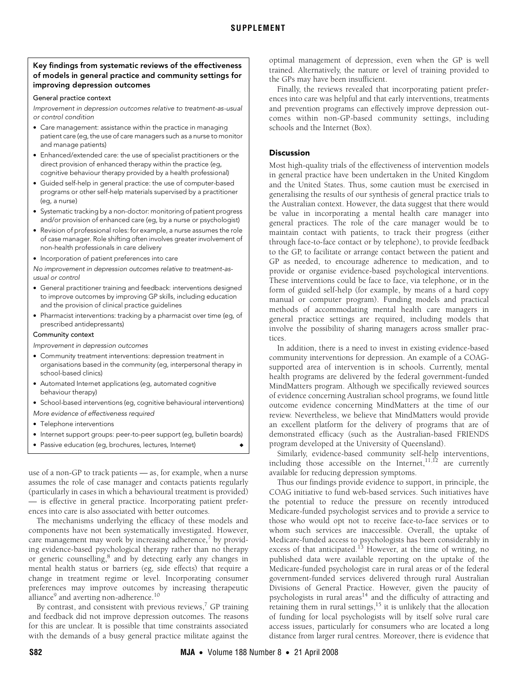## Key findings from systematic reviews of the effectiveness of models in general practice and community settings for improving depression outcomes

#### General practice context

Improvement in depression outcomes relative to treatment-as-usual or control condition

- Care management: assistance within the practice in managing patient care (eg, the use of care managers such as a nurse to monitor and manage patients)
- Enhanced/extended care: the use of specialist practitioners or the direct provision of enhanced therapy within the practice (eg, cognitive behaviour therapy provided by a health professional)
- Guided self-help in general practice: the use of computer-based programs or other self-help materials supervised by a practitioner (eg, a nurse)
- Systematic tracking by a non-doctor: monitoring of patient progress and/or provision of enhanced care (eg, by a nurse or psychologist)
- Revision of professional roles: for example, a nurse assumes the role of case manager. Role shifting often involves greater involvement of non-health professionals in care delivery
- Incorporation of patient preferences into care

No improvement in depression outcomes relative to treatment-asusual or control

- General practitioner training and feedback: interventions designed to improve outcomes by improving GP skills, including education and the provision of clinical practice guidelines
- Pharmacist interventions: tracking by a pharmacist over time (eg, of prescribed antidepressants)

#### Community context

Improvement in depression outcomes

- Community treatment interventions: depression treatment in organisations based in the community (eg, interpersonal therapy in school-based clinics)
- Automated Internet applications (eg, automated cognitive behaviour therapy)
- School-based interventions (eg, cognitive behavioural interventions) More evidence of effectiveness required
- Telephone interventions
- Internet support groups: peer-to-peer support (eg, bulletin boards)
- Passive education (eq, brochures, lectures, Internet)

use of a non-GP to track patients — as, for example, when a nurse assumes the role of case manager and contacts patients regularly (particularly in cases in which a behavioural treatment is provided) — is effective in general practice. Incorporating patient preferences into care is also associated with better outcomes.

The mechanisms underlying the efficacy of these models and components have not been systematically investigated. However, care management may work by increasing adherence, $\frac{7}{1}$  $\frac{7}{1}$  $\frac{7}{1}$  by providing evidence-based psychological therapy rather than no therapy or generic counselling,<sup>[8](#page-2-8)</sup> and by detecting early any changes in mental health status or barriers (eg, side effects) that require a change in treatment regime or level. Incorporating consumer preferences may improve outcomes by increasing therapeutic alliance $^9$  $^9$  and averting non-adherence. $^{10}$  $^{10}$  $^{10}$ 

By contrast, and consistent with previous reviews, $\frac{7}{7}$  GP training and feedback did not improve depression outcomes. The reasons for this are unclear. It is possible that time constraints associated with the demands of a busy general practice militate against the

optimal management of depression, even when the GP is well trained. Alternatively, the nature or level of training provided to the GPs may have been insufficient.

Finally, the reviews revealed that incorporating patient preferences into care was helpful and that early interventions, treatments and prevention programs can effectively improve depression outcomes within non-GP-based community settings, including schools and the Internet (Box).

# Discussion

Most high-quality trials of the effectiveness of intervention models in general practice have been undertaken in the United Kingdom and the United States. Thus, some caution must be exercised in generalising the results of our synthesis of general practice trials to the Australian context. However, the data suggest that there would be value in incorporating a mental health care manager into general practices. The role of the care manager would be to maintain contact with patients, to track their progress (either through face-to-face contact or by telephone), to provide feedback to the GP, to facilitate or arrange contact between the patient and GP as needed, to encourage adherence to medication, and to provide or organise evidence-based psychological interventions. These interventions could be face to face, via telephone, or in the form of guided self-help (for example, by means of a hard copy manual or computer program). Funding models and practical methods of accommodating mental health care managers in general practice settings are required, including models that involve the possibility of sharing managers across smaller practices.

In addition, there is a need to invest in existing evidence-based community interventions for depression. An example of a COAGsupported area of intervention is in schools. Currently, mental health programs are delivered by the federal government-funded MindMatters program. Although we specifically reviewed sources of evidence concerning Australian school programs, we found little outcome evidence concerning MindMatters at the time of our review. Nevertheless, we believe that MindMatters would provide an excellent platform for the delivery of programs that are of demonstrated efficacy (such as the Australian-based FRIENDS program developed at the University of Queensland).

Similarly, evidence-based community self-help interventions, including those accessible on the Internet,  $11,12$  $11,12$  are currently available for reducing depression symptoms.

Thus our findings provide evidence to support, in principle, the COAG initiative to fund web-based services. Such initiatives have the potential to reduce the pressure on recently introduced Medicare-funded psychologist services and to provide a service to those who would opt not to receive face-to-face services or to whom such services are inaccessible. Overall, the uptake of Medicare-funded access to psychologists has been considerably in excess of that anticipated.<sup>13</sup> However, at the time of writing, no published data were available reporting on the uptake of the Medicare-funded psychologist care in rural areas or of the federal government-funded services delivered through rural Australian Divisions of General Practice. However, given the paucity of psychologists in rural areas<sup>[14](#page-2-14)</sup> and the difficulty of attracting and retaining them in rural settings,<sup>15</sup> it is unlikely that the allocation of funding for local psychologists will by itself solve rural care access issues, particularly for consumers who are located a long distance from larger rural centres. Moreover, there is evidence that